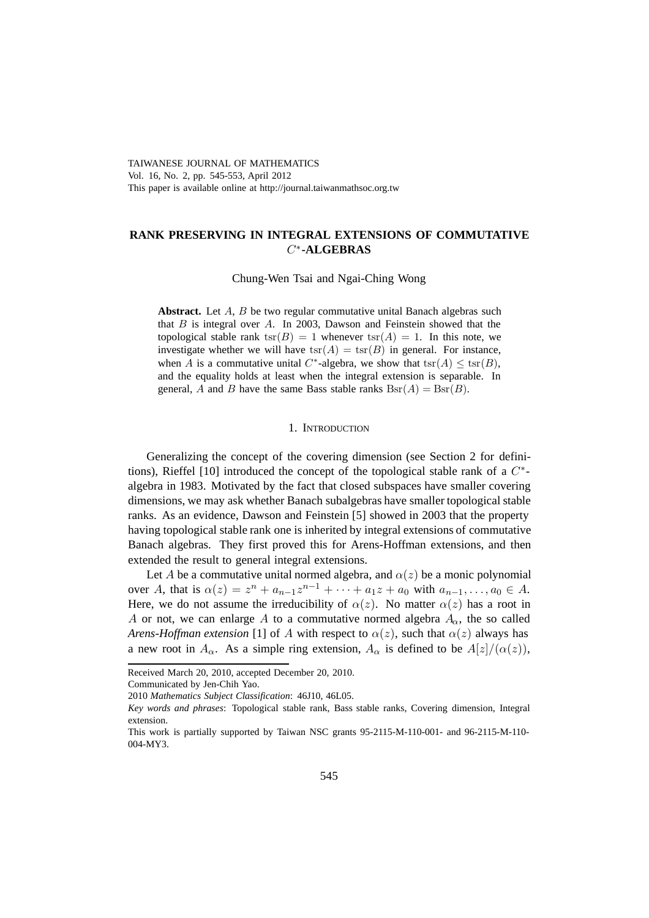# TAIWANESE JOURNAL OF MATHEMATICS Vol. 16, No. 2, pp. 545-553, April 2012 This paper is available online at http://journal.taiwanmathsoc.org.tw

# **RANK PRESERVING IN INTEGRAL EXTENSIONS OF COMMUTATIVE** <sup>C</sup>∗**-ALGEBRAS**

Chung-Wen Tsai and Ngai-Ching Wong

Abstract. Let A, B be two regular commutative unital Banach algebras such that  $B$  is integral over  $A$ . In 2003, Dawson and Feinstein showed that the topological stable rank  $\text{tsr}(B)=1$  whenever  $\text{tsr}(A)=1$ . In this note, we investigate whether we will have  $\text{tsr}(A) = \text{tsr}(B)$  in general. For instance, when A is a commutative unital C<sup>\*</sup>-algebra, we show that  $\text{tsr}(A) \leq \text{tsr}(B)$ , and the equality holds at least when the integral extension is separable. In general, A and B have the same Bass stable ranks  $\text{Bsr}(A) = \text{Bsr}(B)$ .

#### 1. INTRODUCTION

Generalizing the concept of the covering dimension (see Section 2 for definitions), Rieffel [10] introduced the concept of the topological stable rank of a  $C^*$ algebra in 1983. Motivated by the fact that closed subspaces have smaller covering dimensions, we may ask whether Banach subalgebras have smaller topological stable ranks. As an evidence, Dawson and Feinstein [5] showed in 2003 that the property having topological stable rank one is inherited by integral extensions of commutative Banach algebras. They first proved this for Arens-Hoffman extensions, and then extended the result to general integral extensions.

Let A be a commutative unital normed algebra, and  $\alpha(z)$  be a monic polynomial over A, that is  $\alpha(z) = z^n + a_{n-1}z^{n-1} + \cdots + a_1z + a_0$  with  $a_{n-1}, \ldots, a_0 \in A$ . Here, we do not assume the irreducibility of  $\alpha(z)$ . No matter  $\alpha(z)$  has a root in A or not, we can enlarge A to a commutative normed algebra  $A_{\alpha}$ , the so called *Arens-Hoffman extension* [1] of A with respect to  $\alpha(z)$ , such that  $\alpha(z)$  always has a new root in  $A_{\alpha}$ . As a simple ring extension,  $A_{\alpha}$  is defined to be  $A[z]/(\alpha(z))$ ,

Received March 20, 2010, accepted December 20, 2010.

Communicated by Jen-Chih Yao.

<sup>2010</sup> *Mathematics Subject Classification*: 46J10, 46L05.

*Key words and phrases*: Topological stable rank, Bass stable ranks, Covering dimension, Integral extension.

This work is partially supported by Taiwan NSC grants 95-2115-M-110-001- and 96-2115-M-110- 004-MY3.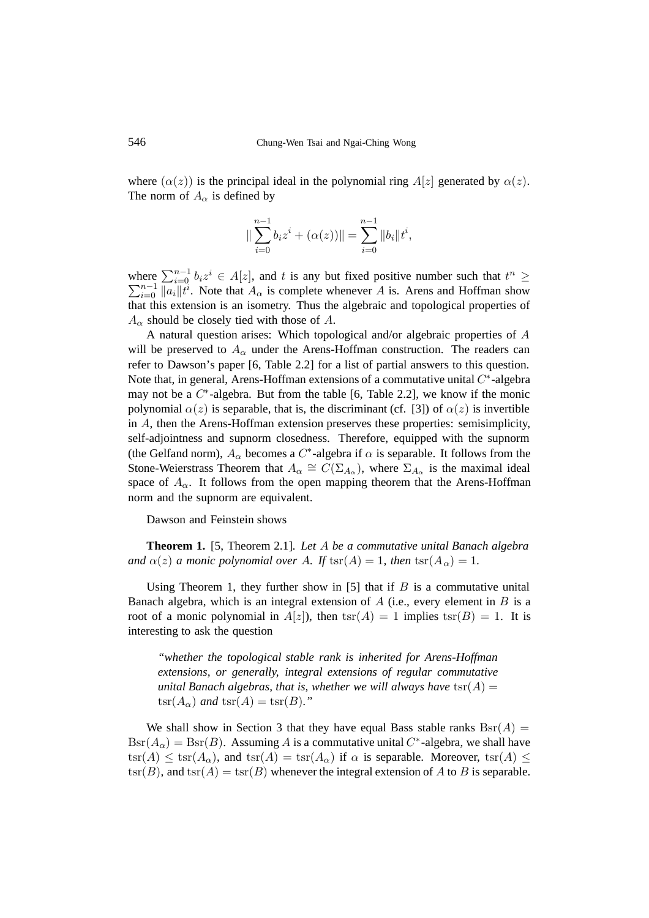where  $(\alpha(z))$  is the principal ideal in the polynomial ring  $A[z]$  generated by  $\alpha(z)$ . The norm of  $A_{\alpha}$  is defined by

$$
\|\sum_{i=0}^{n-1} b_i z^i + (\alpha(z))\| = \sum_{i=0}^{n-1} \|b_i\| t^i,
$$

where  $\sum_{i=0}^{n-1} b_i z^i \in A[z]$ , and t is any but fixed positive number such that  $t^n \ge \sum_{i=0}^{n-1} ||a_i||t^i$ . Note that  $A_\alpha$  is complete whenever A is. Arens and Hoffman show  $\sum_{i=0}^{n-1} ||a_i|| t^i$ . Note that  $A_\alpha$  is complete whenever A is. Arens and Hoffman show  $\mathbf{a}$  this extension is an isometry. Thus the algebraic and topological properties of that this extension is an isometry. Thus the algebraic and topological properties of  $A_{\alpha}$  should be closely tied with those of A.

A natural question arises: Which topological and/or algebraic properties of A will be preserved to  $A_{\alpha}$  under the Arens-Hoffman construction. The readers can refer to Dawson's paper [6, Table 2.2] for a list of partial answers to this question. Note that, in general, Arens-Hoffman extensions of a commutative unital  $C^*$ -algebra may not be a  $C^*$ -algebra. But from the table [6, Table 2.2], we know if the monic polynomial  $\alpha(z)$  is separable, that is, the discriminant (cf. [3]) of  $\alpha(z)$  is invertible in A, then the Arens-Hoffman extension preserves these properties: semisimplicity, self-adjointness and supnorm closedness. Therefore, equipped with the supnorm (the Gelfand norm),  $A_{\alpha}$  becomes a C<sup>\*</sup>-algebra if  $\alpha$  is separable. It follows from the Stone-Weierstrass Theorem that  $A_{\alpha} \cong C(\Sigma_{A_{\alpha}})$ , where  $\Sigma_{A_{\alpha}}$  is the maximal ideal space of  $A_{\alpha}$ . It follows from the open mapping theorem that the Arens-Hoffman norm and the supnorm are equivalent.

Dawson and Feinstein shows

**Theorem 1.** [5, Theorem 2.1]*. Let* A *be a commutative unital Banach algebra and*  $\alpha(z)$  *a monic polynomial over A. If*  $\text{tsr}(A) = 1$ *, then*  $\text{tsr}(A_\alpha) = 1$ *.* 

Using Theorem 1, they further show in [5] that if  $B$  is a commutative unital Banach algebra, which is an integral extension of  $A$  (i.e., every element in  $B$  is a root of a monic polynomial in  $A[z]$ , then  $\text{tsr}(A)=1$  implies  $\text{tsr}(B)=1$ . It is interesting to ask the question

*"whether the topological stable rank is inherited for Arens-Hoffman extensions, or generally, integral extensions of regular commutative unital Banach algebras, that is, whether we will always have*  $\text{tsr}(A) =$  $\operatorname{tsr}(A_{\alpha})$  *and*  $\operatorname{tsr}(A) = \operatorname{tsr}(B)$ *.*"

We shall show in Section 3 that they have equal Bass stable ranks  $\text{Bsr}(A) =$  $\text{Bsr}(A_{\alpha}) = \text{Bsr}(B)$ . Assuming A is a commutative unital C<sup>\*</sup>-algebra, we shall have  $\text{tsr}(A) \leq \text{tsr}(A_{\alpha})$ , and  $\text{tsr}(A) = \text{tsr}(A_{\alpha})$  if  $\alpha$  is separable. Moreover,  $\text{tsr}(A) \leq$  $\text{tsr}(B)$ , and  $\text{tsr}(A) = \text{tsr}(B)$  whenever the integral extension of A to B is separable.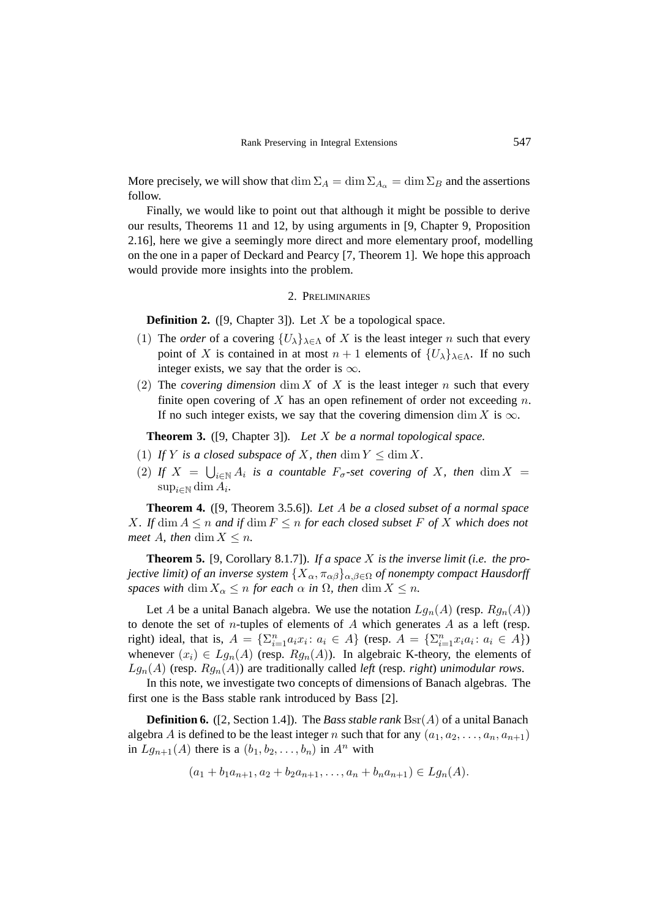More precisely, we will show that  $\dim \Sigma_A = \dim \Sigma_{A_\alpha} = \dim \Sigma_B$  and the assertions follow.

Finally, we would like to point out that although it might be possible to derive our results, Theorems 11 and 12, by using arguments in [9, Chapter 9, Proposition 2.16], here we give a seemingly more direct and more elementary proof, modelling on the one in a paper of Deckard and Pearcy [7, Theorem 1]. We hope this approach would provide more insights into the problem.

# 2. PRELIMINARIES

**Definition 2.** ([9, Chapter 3]). Let X be a topological space.

- (1) The *order* of a covering  ${U_{\lambda}}_{\lambda \in \Lambda}$  of X is the least integer n such that every point of X is contained in at most  $n + 1$  elements of  $\{U_{\lambda}\}_{{\lambda \in \Lambda}}$ . If no such integer exists, we say that the order is  $\infty$ .
- (2) The *covering dimension* dim X of X is the least integer n such that every finite open covering of X has an open refinement of order not exceeding  $n$ . If no such integer exists, we say that the covering dimension dim X is  $\infty$ .

**Theorem 3.** ([9, Chapter 3]). *Let* X *be a normal topological space.*

- (1) If Y is a closed subspace of X, then  $\dim Y \leq \dim X$ .
- (2) *If*  $X = \bigcup_{i \in \mathbb{N}} A_i$  *is a countable*  $F_{\sigma}$ -set covering of  $X$ *, then* dim  $X = \sup_{\sigma \in \mathbb{N}} A_{\sigma}$  $\sup_{i\in\mathbb{N}}\dim A_i$ .

**Theorem 4.** ([9, Theorem 3.5.6]). *Let* A *be a closed subset of a normal space* X. If  $\dim A \leq n$  and if  $\dim F \leq n$  for each closed subset F of X which does not *meet* A, then dim  $X \leq n$ .

**Theorem 5.** [9, Corollary 8.1.7]). *If a space* X *is the inverse limit (i.e. the projective limit) of an inverse system*  $\{X_\alpha, \pi_{\alpha\beta}\}_{{\alpha,\beta\in\Omega}}$  *of nonempty compact Hausdorff spaces with* dim  $X_{\alpha} \leq n$  *for each*  $\alpha$  *in*  $\Omega$ *, then* dim  $X \leq n$ *.* 

Let A be a unital Banach algebra. We use the notation  $Lg_n(A)$  (resp.  $Rg_n(A)$ ) to denote the set of *n*-tuples of elements of  $A$  which generates  $A$  as a left (resp. right) ideal, that is,  $A = \{\sum_{i=1}^{n} a_i x_i : a_i \in A\}$  (resp.  $A = \{\sum_{i=1}^{n} x_i a_i : a_i \in A\}$ )<br>whenever  $(x_i) \in La(A)$  (resp.  $Ba(A)$ ). In algebraic K theory, the elements of whenever  $(x_i) \in Lg_n(A)$  (resp.  $Rg_n(A)$ ). In algebraic K-theory, the elements of  $Lg_n(A)$  (resp.  $Rg_n(A)$ ) are traditionally called *left* (resp. *right*) *unimodular rows*.

In this note, we investigate two concepts of dimensions of Banach algebras. The first one is the Bass stable rank introduced by Bass [2].

**Definition 6.** ([2, Section 1.4]). The *Bass stable rank* Bsr(A) of a unital Banach algebra A is defined to be the least integer n such that for any  $(a_1, a_2, \ldots, a_n, a_{n+1})$ in  $Lg_{n+1}(A)$  there is a  $(b_1, b_2, \ldots, b_n)$  in  $A^n$  with

$$
(a_1 + b_1 a_{n+1}, a_2 + b_2 a_{n+1}, \dots, a_n + b_n a_{n+1}) \in Lg_n(A).
$$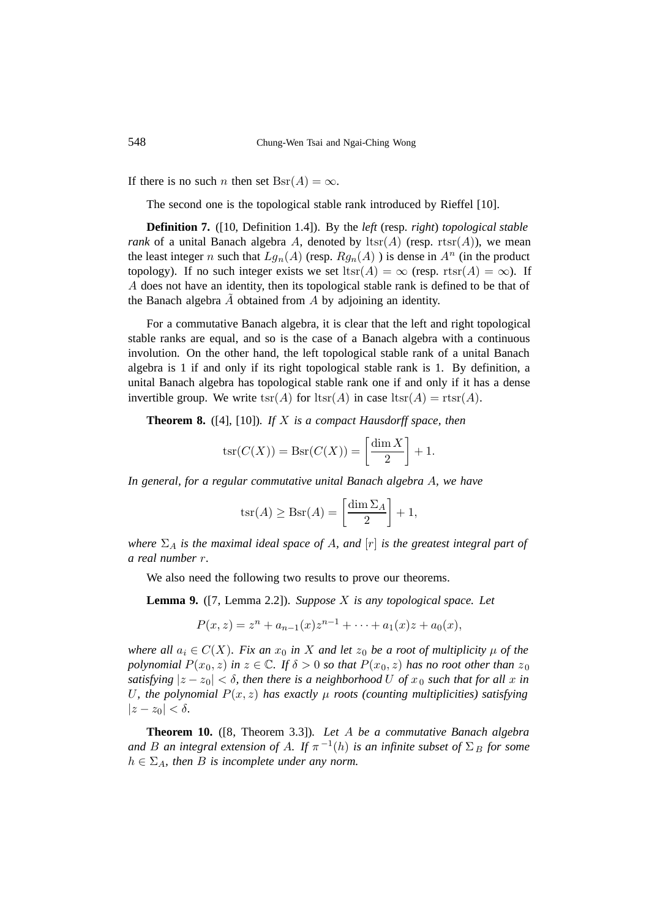If there is no such n then set  $\text{Bsr}(A) = \infty$ .

The second one is the topological stable rank introduced by Rieffel [10].

**Definition 7.** ([10, Definition 1.4]). By the *left* (resp. *right*) *topological stable rank* of a unital Banach algebra A, denoted by  $\text{lts}(A)$  (resp. rtsr(A)), we mean the least integer n such that  $Lg_n(A)$  (resp.  $Rg_n(A)$ ) is dense in  $A^n$  (in the product topology). If no such integer exists we set ltsr(A) =  $\infty$  (resp. rtsr(A) =  $\infty$ ). If A does not have an identity, then its topological stable rank is defined to be that of the Banach algebra  $A$  obtained from  $A$  by adjoining an identity.

For a commutative Banach algebra, it is clear that the left and right topological stable ranks are equal, and so is the case of a Banach algebra with a continuous involution. On the other hand, the left topological stable rank of a unital Banach algebra is 1 if and only if its right topological stable rank is 1. By definition, a unital Banach algebra has topological stable rank one if and only if it has a dense invertible group. We write  $\text{tsr}(A)$  for  $\text{ttsr}(A)$  in case  $\text{ttsr}(A) = \text{rtsr}(A)$ .

**Theorem 8.** ([4], [10])*. If* X *is a compact Hausdorff space, then*

$$
\operatorname{tsr}(C(X)) = \operatorname{Bsr}(C(X)) = \left[\frac{\dim X}{2}\right] + 1.
$$

*In general, for a regular commutative unital Banach algebra* A*, we have*

$$
tsr(A) \geq Bsr(A) = \left[\frac{\dim \Sigma_A}{2}\right] + 1,
$$

*where*  $\Sigma_A$  *is the maximal ideal space of A, and*  $[r]$  *is the greatest integral part of a real number* r*.*

We also need the following two results to prove our theorems.

**Lemma 9.** ([7, Lemma 2.2]). *Suppose* X *is any topological space. Let*

$$
P(x, z) = zn + an-1(x)zn-1 + \dots + a1(x)z + a0(x),
$$

*where all*  $a_i \in C(X)$ *. Fix an*  $x_0$  *in* X *and let*  $z_0$  *be a root of multiplicity*  $\mu$  *of the polynomial*  $P(x_0, z)$  *in*  $z \in \mathbb{C}$ *. If*  $\delta > 0$  *so that*  $P(x_0, z)$  *has no root other than*  $z_0$ *satisfying*  $|z - z_0| < \delta$ , then there is a neighborhood U of  $x_0$  such that for all x in U<sub>r</sub>, the polynomial  $P(x, z)$  has exactly  $\mu$  roots (counting multiplicities) satisfying  $|z-z_0|<\delta$ .

**Theorem 10.** ([8, Theorem 3.3])*. Let* A *be a commutative Banach algebra and* B an integral extension of A. If  $\pi^{-1}(h)$  *is an infinite subset of*  $\Sigma_B$  *for some*  $h \in \Sigma_A$ , then B is incomplete under any norm.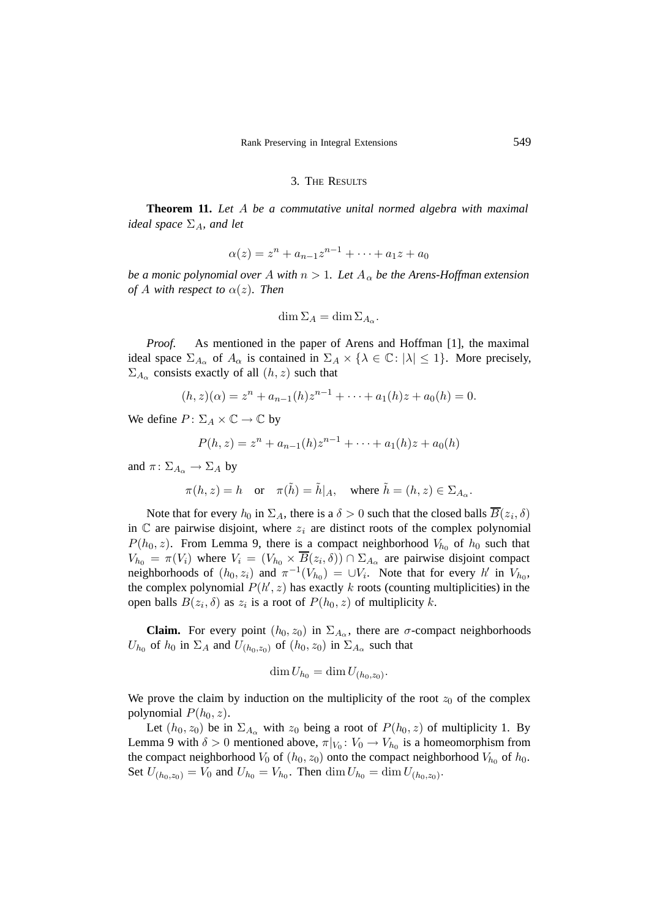### 3. THE RESULTS

**Theorem 11.** *Let* A *be a commutative unital normed algebra with maximal ideal space*  $\Sigma_A$ *, and let* 

$$
\alpha(z) = z^n + a_{n-1}z^{n-1} + \dots + a_1z + a_0
$$

*be a monic polynomial over* A with  $n > 1$ . Let  $A_{\alpha}$  be the Arens-Hoffman extension *of* A with respect to  $\alpha(z)$ *. Then* 

$$
\dim \Sigma_A = \dim \Sigma_{A_\alpha}.
$$

*Proof.* As mentioned in the paper of Arens and Hoffman [1], the maximal ideal space  $\Sigma_{A_{\alpha}}$  of  $A_{\alpha}$  is contained in  $\Sigma_A \times \{ \lambda \in \mathbb{C} : |\lambda| \leq 1 \}$ . More precisely,  $\Sigma_{A_{\alpha}}$  consists exactly of all  $(h, z)$  such that

$$
(h, z)(\alpha) = zn + an-1(h)zn-1 + \dots + a1(h)z + a0(h) = 0.
$$

We define  $P: \Sigma_A \times \mathbb{C} \to \mathbb{C}$  by

$$
P(h, z) = zn + an-1(h)zn-1 + \dots + a1(h)z + a0(h)
$$

and  $\pi: \Sigma_{A_{\alpha}} \to \Sigma_A$  by

$$
\pi(h, z) = h
$$
 or  $\pi(\tilde{h}) = \tilde{h}|_A$ , where  $\tilde{h} = (h, z) \in \Sigma_{A_\alpha}$ .

Note that for every  $h_0$  in  $\Sigma_A$ , there is a  $\delta > 0$  such that the closed balls  $B(z_i, \delta)$ in  $\mathbb C$  are pairwise disjoint, where  $z_i$  are distinct roots of the complex polynomial  $P(h_0, z)$ . From Lemma 9, there is a compact neighborhood  $V_{h_0}$  of  $h_0$  such that  $V_{h_0} = \pi(V_i)$  where  $V_i = (V_{h_0} \times \overline{B}(z_i, \delta)) \cap \Sigma_{A_\alpha}$  are pairwise disjoint compact neighborhoods of  $(h_0, z_i)$  and  $\pi^{-1}(V_{h_0}) = \bigcup V_i$ . Note that for every h' in  $V_{h_0}$ , the complex polynomial  $P(h', z)$  has exactly k roots (counting multiplicities) in the open balls  $B(z_i, \delta)$  as  $z_i$  is a root of  $P(h_0, z)$  of multiplicity k.

**Claim.** For every point  $(h_0, z_0)$  in  $\Sigma_{A_\alpha}$ , there are  $\sigma$ -compact neighborhoods  $U_{h_0}$  of  $h_0$  in  $\Sigma_A$  and  $U_{(h_0, z_0)}$  of  $(h_0, z_0)$  in  $\Sigma_{A_\alpha}$  such that

$$
\dim U_{h_0} = \dim U_{(h_0, z_0)}.
$$

We prove the claim by induction on the multiplicity of the root  $z_0$  of the complex polynomial  $P(h_0, z)$ .

Let  $(h_0, z_0)$  be in  $\Sigma_{A_\alpha}$  with  $z_0$  being a root of  $P(h_0, z)$  of multiplicity 1. By Lemma 9 with  $\delta > 0$  mentioned above,  $\pi|_{V_0}: V_0 \to V_{h_0}$  is a homeomorphism from the compact neighborhood  $V_0$  of  $(h_0, z_0)$  onto the compact neighborhood  $V_{h_0}$  of  $h_0$ . Set  $U_{(h_0, z_0)} = V_0$  and  $U_{h_0} = V_{h_0}$ . Then  $\dim U_{h_0} = \dim U_{(h_0, z_0)}$ .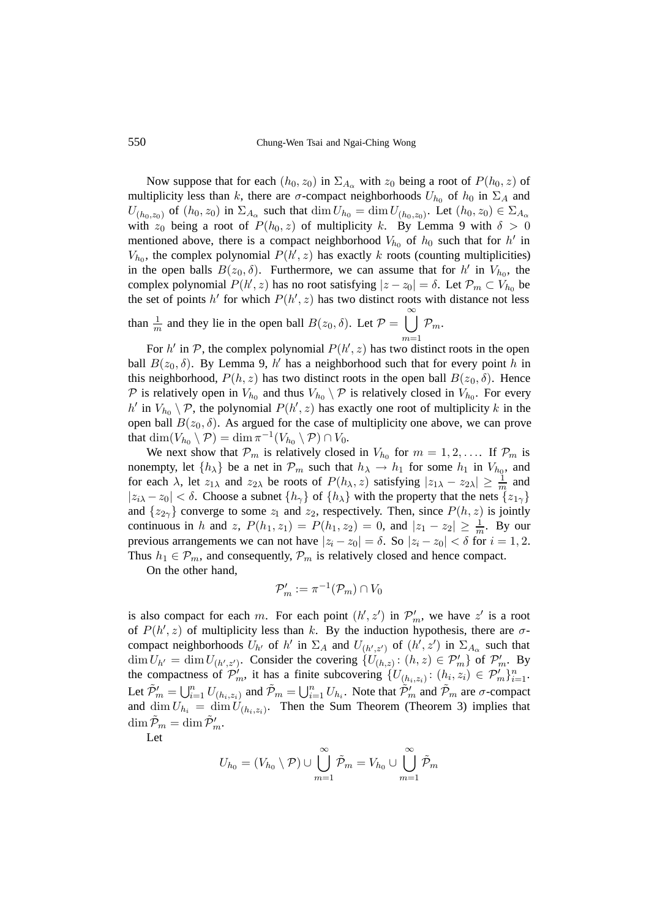550 Chung-Wen Tsai and Ngai-Ching Wong

Now suppose that for each  $(h_0, z_0)$  in  $\Sigma_{A_\alpha}$  with  $z_0$  being a root of  $P(h_0, z)$  of multiplicity less than k, there are  $\sigma$ -compact neighborhoods  $U_{h_0}$  of  $h_0$  in  $\Sigma_A$  and  $U_{(h_0,z_0)}$  of  $(h_0,z_0)$  in  $\Sigma_{A_\alpha}$  such that  $\dim U_{h_0} = \dim U_{(h_0,z_0)}$ . Let  $(h_0,z_0) \in \Sigma_{A_\alpha}$ with  $z_0$  being a root of  $P(h_0, z)$  of multiplicity k. By Lemma 9 with  $\delta > 0$ mentioned above, there is a compact neighborhood  $V_{h_0}$  of  $h_0$  such that for h' in  $V_{h_0}$ , the complex polynomial  $P(h', z)$  has exactly k roots (counting multiplicities)<br>in the open balls  $B(z_0, \delta)$ . Furthermore, we can assume that for  $h'$  in  $V_1$ , the in the open balls  $B(z_0, \delta)$ . Furthermore, we can assume that for h' in  $V_{h_0}$ , the complex polynomial  $P(h', z)$  has no root satisfying  $|z - z_0| = \delta$ . Let  $\mathcal{P}_m \subset V_{h_0}$  be the set of points  $h'$  for which  $P(h' \ z)$  has two distinct roots with distance not less the set of points h' for which  $P(h', z)$  has two distinct roots with distance not less than  $\frac{1}{n}$  $\frac{1}{m}$  and they lie in the open ball  $B(z_0, \delta)$ . Let  $\mathcal{P} = \bigcup_{m=1}^{\infty}$  $\mathcal{P}_m$ .

For h' in P, the complex polynomial  $P(h', z)$  has two distinct roots in the open  $B(z, \delta)$ . By Lemma 9, h' has a neighborhood such that for every point h in ball  $B(z_0, \delta)$ . By Lemma 9, h' has a neighborhood such that for every point h in this neighborhood,  $P(h, z)$  has two distinct roots in the open ball  $B(z_0, \delta)$ . Hence P is relatively open in  $V_{h_0}$  and thus  $V_{h_0} \setminus \mathcal{P}$  is relatively closed in  $V_{h_0}$ . For every h' in  $V_{h_0} \setminus \mathcal{P}$ , the polynomial  $P(h', z)$  has exactly one root of multiplicity k in the open ball  $B(z_0, \delta)$ . As argued for the case of multiplicity one above, we can prove that  $\dim(V_{h_0} \setminus \mathcal{P}) = \dim \pi^{-1}(V_{h_0} \setminus \mathcal{P}) \cap V_0$ .

We next show that  $P_m$  is relatively closed in  $V_{h_0}$  for  $m = 1, 2, \ldots$  If  $P_m$  is nonempty, let  $\{h_{\lambda}\}\$ be a net in  $\mathcal{P}_m$  such that  $h_{\lambda} \to h_1$  for some  $h_1$  in  $V_{h_0}$ , and for each  $\lambda$ , let  $z_{1\lambda}$  and  $z_{2\lambda}$  be roots of  $P(h_\lambda, z)$  satisfying  $|z_{1\lambda} - z_{2\lambda}| \ge \frac{1}{m}$  and  $|z_{1\lambda} - z_2| \le \delta$ . Choose a subpet  $\{h_\lambda\}$  of  $\{h_\lambda\}$  with the property that the nets  $\{z_{\lambda}\}$  $|z_{i\lambda} - z_0| < \delta$ . Choose a subnet  $\{h_{\gamma}\}\$  of  $\{h_{\lambda}\}\$  with the property that the nets  $\{z_{1\gamma}\}\$ and  $\{z_{2\gamma}\}\$  converge to some  $z_1$  and  $z_2$ , respectively. Then, since  $P(h, z)$  is jointly continuous in h and z,  $P(h_1, z_1) = P(h_1, z_2) = 0$ , and  $|z_1 - z_2| \ge \frac{1}{m}$ . By our previous arrangements we can not have  $|z_i - z_0| = \delta$ . So  $|z_i - z_0| < \delta$  for  $i = 1, 2$ . Thus  $h_1 \in \mathcal{P}_m$ , and consequently,  $\mathcal{P}_m$  is relatively closed and hence compact.

On the other hand,

$$
\mathcal{P}'_m := \pi^{-1}(\mathcal{P}_m) \cap V_0
$$

is also compact for each m. For each point  $(h', z')$  in  $\mathcal{P}'_m$ , we have  $z'$  is a root<br>of  $P(h' | z)$  of multiplicity less than k. By the induction hypothesis, there are  $\sigma$ of  $P(h', z)$  of multiplicity less than k. By the induction hypothesis, there are  $\sigma$ -<br>compact neighborhoods  $H_k$  of  $h'$  in  $\Sigma_k$  and  $H_k$   $\omega$  of  $(h' \gamma')$  in  $\Sigma_k$  such that compact neighborhoods  $U_{h'}$  of  $h'$  in  $\Sigma_A$  and  $U_{(h',z')}$  of  $(h',z')$  in  $\Sigma_{A_\alpha}$  such that  $\dim U_{h'} = \dim U_{h,h}$ . Consider the covering  $JU_{h,h}$  is  $(h, z) \in \mathcal{D}'$ . On  $\mathcal{D}'$  $\dim U_{h'} = \dim U_{(h',z')}$ . Consider the covering  $\{U_{(h,z)} : (h,z) \in \mathcal{P}'_m\}$  of  $\mathcal{P}'_m$ . By the compactness of  $\mathcal{P}'_m$ , it has a finite subcovering  $\{U_{(h_i,z_i)}: (h_i, z_i) \in \mathcal{P}'_m\}_{i=1}^n$ .<br>Let  $\tilde{\mathcal{P}}'$  and  $\tilde{\mathcal{P}}'$  and  $\tilde{\mathcal{P}}$  and  $\tilde{\mathcal{P}}'$  and  $\tilde{\mathcal{P}}'$  and  $\tilde{\mathcal{P}}'$  and  $\tilde{\mathcal{P}}'$ Let  $\tilde{\mathcal{P}}'_m = \bigcup_{i=1}^n U_{(h_i,z_i)}$  and  $\tilde{\mathcal{P}}_m = \bigcup_{i=1}^n U_{h_i}$ . Note that  $\tilde{\mathcal{P}}'_m$  and  $\tilde{\mathcal{P}}_m$  are  $\sigma$ -compact and dim  $U_i$  = dim  $U_i$ . Then the Sum Theorem (Theorem 3) inplies that and  $\dim U_{h_i} = \dim U_{(h_i,z_i)}$ . Then the Sum Theorem (Theorem 3) implies that  $\dim \tilde{\mathcal{P}}_m = \dim \tilde{\mathcal{P}}'_m.$ 

Let

$$
U_{h_0} = (V_{h_0} \setminus \mathcal{P}) \cup \bigcup_{m=1}^{\infty} \tilde{\mathcal{P}}_m = V_{h_0} \cup \bigcup_{m=1}^{\infty} \tilde{\mathcal{P}}_m
$$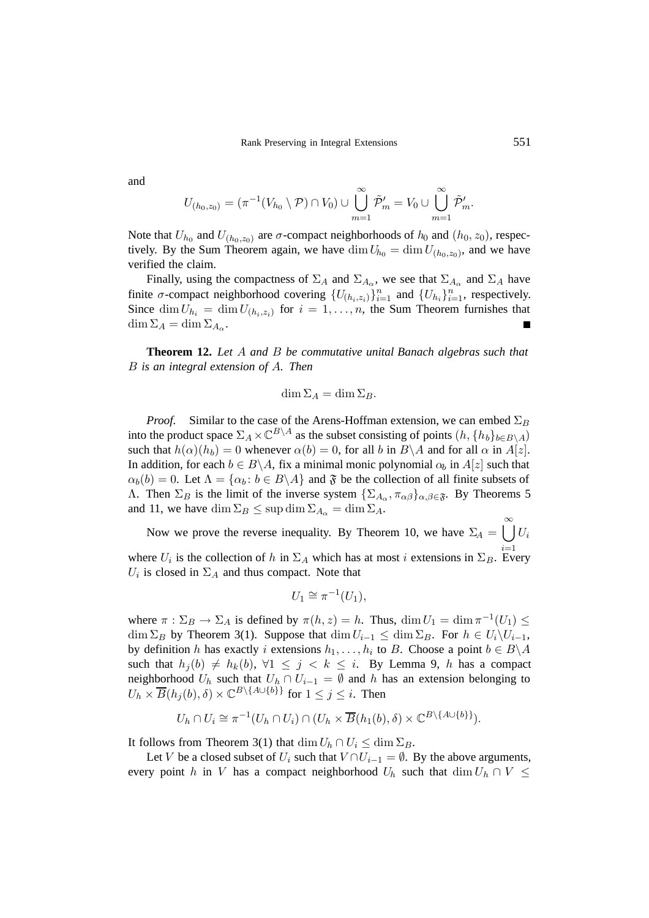and

$$
U_{(h_0,z_0)} = (\pi^{-1}(V_{h_0} \setminus \mathcal{P}) \cap V_0) \cup \bigcup_{m=1}^{\infty} \tilde{\mathcal{P}}'_{m} = V_0 \cup \bigcup_{m=1}^{\infty} \tilde{\mathcal{P}}'_{m}.
$$

Note that  $U_{h_0}$  and  $U_{(h_0,z_0)}$  are  $\sigma$ -compact neighborhoods of  $h_0$  and  $(h_0, z_0)$ , respectively. By the Sum Theorem again, we have  $\dim U_{h_0} = \dim U_{(h_0,z_0)}$ , and we have verified the claim.

Finally, using the compactness of  $\Sigma_A$  and  $\Sigma_{A_{\alpha}}$ , we see that  $\Sigma_{A_{\alpha}}$  and  $\Sigma_A$  have finite  $\sigma$ -compact neighborhood covering  $\{U_{(h_i,z_i)}\}_{i=1}^n$  and  $\{U_{h_i}\}_{i=1}^n$ , respectively.<br>Since  $\dim U_i = \dim U_i$ , for  $i = 1$ , is the Sum Theorem furnishes that Since  $\dim U_{h_i} = \dim U_{(h_i, z_i)}$  for  $i = 1, \ldots, n$ , the Sum Theorem furnishes that  $\dim \Sigma_A = \dim \Sigma_{A_\alpha}.$ 

**Theorem 12.** *Let* A *and* B *be commutative unital Banach algebras such that* B *is an integral extension of* A*. Then*

$$
\dim \Sigma_A = \dim \Sigma_B.
$$

*Proof.* Similar to the case of the Arens-Hoffman extension, we can embed  $\Sigma_B$ into the product space  $\Sigma_A \times \mathbb{C}^{B\setminus A}$  as the subset consisting of points  $(h, \{h_b\}_{b \in B\setminus A})$ such that  $h(\alpha)(h_b)=0$  whenever  $\alpha(b)=0$ , for all b in  $B\setminus A$  and for all  $\alpha$  in  $A[z]$ . In addition, for each  $b \in B \backslash A$ , fix a minimal monic polynomial  $\alpha_b$  in  $A[z]$  such that  $\alpha_b(b)=0$ . Let  $\Lambda = {\alpha_b : b \in B\backslash A}$  and  $\mathfrak F$  be the collection of all finite subsets of Λ. Then  $\Sigma_B$  is the limit of the inverse system  $\{\Sigma_{A_\alpha}, \pi_{\alpha\beta}\}_{{\alpha,\beta}\in\mathfrak{F}}$ . By Theorems 5 and 11, we have dim  $\Sigma_B \leq \sup \dim \Sigma_{A_0} = \dim \Sigma_A$ .

Now we prove the reverse inequality. By Theorem 10, we have  $\Sigma_A = \bigcup_{i=1}^{\infty} U_i$ where  $U_i$  is the collection of h in  $\Sigma_A$  which has at most i extensions in  $\Sigma_B$ . Every  $U_i$  is closed in  $\Sigma_A$  and thus compact. Note that

$$
U_1 \cong \pi^{-1}(U_1),
$$

where  $\pi : \Sigma_B \to \Sigma_A$  is defined by  $\pi(h, z) = h$ . Thus,  $\dim U_1 = \dim \pi^{-1}(U_1) \le$  $\dim \Sigma_B$  by Theorem 3(1). Suppose that  $\dim U_{i-1} \leq \dim \Sigma_B$ . For  $h \in U_i \backslash U_{i-1}$ , by definition h has exactly i extensions  $h_1, \ldots, h_i$  to B. Choose a point  $b \in B \backslash A$ such that  $h_j(b) \neq h_k(b)$ ,  $\forall 1 \leq j \leq k \leq i$ . By Lemma 9, h has a compact neighborhood  $U_h$  such that  $U_h \cap U_{i-1} = \emptyset$  and h has an extension belonging to  $U_h \times \overline{B}(h_i(b), \delta) \times \mathbb{C}^{B \setminus \{A \cup \{b\}\}}$  for  $1 \leq j \leq i$ . Then

$$
U_h \cap U_i \cong \pi^{-1}(U_h \cap U_i) \cap (U_h \times \overline{B}(h_1(b), \delta) \times \mathbb{C}^{B \setminus \{A \cup \{b\}\}}).
$$

It follows from Theorem 3(1) that  $\dim U_h \cap U_i \leq \dim \Sigma_B$ .

Let V be a closed subset of  $U_i$  such that  $V \cap U_{i-1} = \emptyset$ . By the above arguments, every point h in V has a compact neighborhood  $U_h$  such that  $\dim U_h \cap V \leq$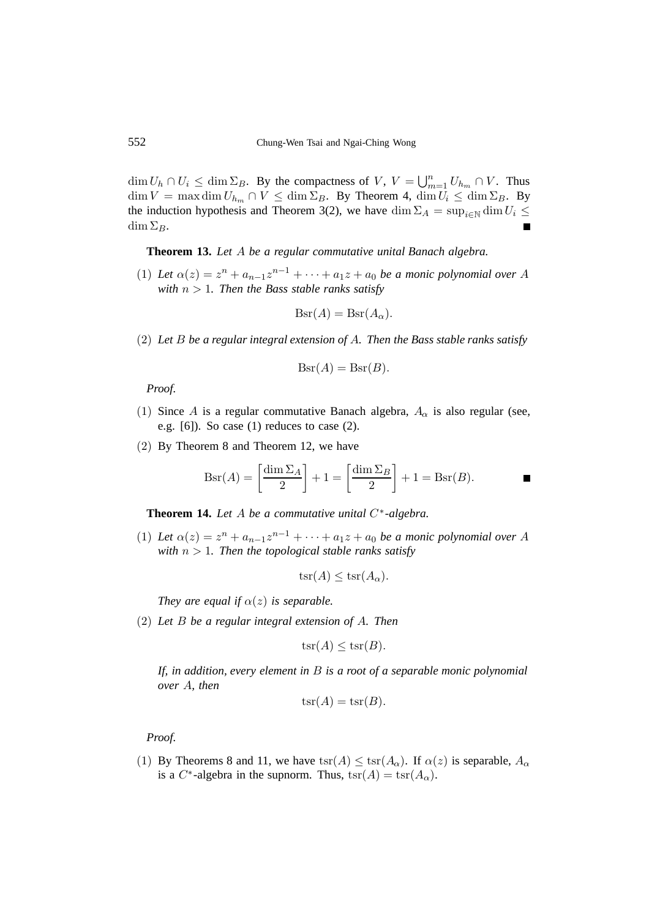$\dim U_h \cap U_i \leq \dim \Sigma_B$ . By the compactness of V,  $V = \bigcup_{m=1}^n U_{h_m} \cap V$ . Thus  $\dim V = \max_{v \in \mathcal{V}} \dim U_v \leq \dim \Sigma_B$ . By Theorem 4,  $\dim U_v \leq \dim \Sigma_B$ . By  $\dim V = \max \dim U_{h_m} \cap V \leq \dim \Sigma_B$ . By Theorem 4,  $\dim U_i \leq \dim \Sigma_B$ . By the induction hypothesis and Theorem 3(2), we have dim  $\Sigma_A = \sup_{i \in \mathbb{N}} \dim U_i \leq$  $\dim \Sigma_B$ .

**Theorem 13.** *Let* A *be a regular commutative unital Banach algebra.*

(1) Let  $\alpha(z) = z^n + a_{n-1}z^{n-1} + \cdots + a_1z + a_0$  be a monic polynomial over A *with*  $n > 1$ *. Then the Bass stable ranks satisfy* 

$$
Bsr(A) = Bsr(A\alpha).
$$

(2) *Let* B *be a regular integral extension of* A*. Then the Bass stable ranks satisfy*

$$
Bsr(A) = Bsr(B).
$$

*Proof.*

- (1) Since A is a regular commutative Banach algebra,  $A_{\alpha}$  is also regular (see, e.g. [6]). So case (1) reduces to case (2).
- (2) By Theorem 8 and Theorem 12, we have

$$
Bsr(A) = \left[\frac{\dim \Sigma_A}{2}\right] + 1 = \left[\frac{\dim \Sigma_B}{2}\right] + 1 = Bsr(B).
$$

**Theorem 14.** *Let* A *be a commutative unital* C∗*-algebra.*

(1) Let  $\alpha(z) = z^n + a_{n-1}z^{n-1} + \cdots + a_1z + a_0$  be a monic polynomial over A *with*  $n > 1$ *. Then the topological stable ranks satisfy* 

$$
\operatorname{tsr}(A) \le \operatorname{tsr}(A_{\alpha}).
$$

*They are equal if*  $\alpha(z)$  *is separable.* 

(2) *Let* B *be a regular integral extension of* A*. Then*

$$
\operatorname{tsr}(A) \leq \operatorname{tsr}(B).
$$

*If, in addition, every element in* B *is a root of a separable monic polynomial over* A*, then*

$$
\operatorname{tsr}(A) = \operatorname{tsr}(B).
$$

*Proof.*

(1) By Theorems 8 and 11, we have  $\operatorname{tsr}(A) \le \operatorname{tsr}(A_0)$ . If  $\alpha(z)$  is separable,  $A_0$ is a C<sup>\*</sup>-algebra in the supnorm. Thus,  $\text{tsr}(A) = \text{tsr}(A_\alpha)$ .